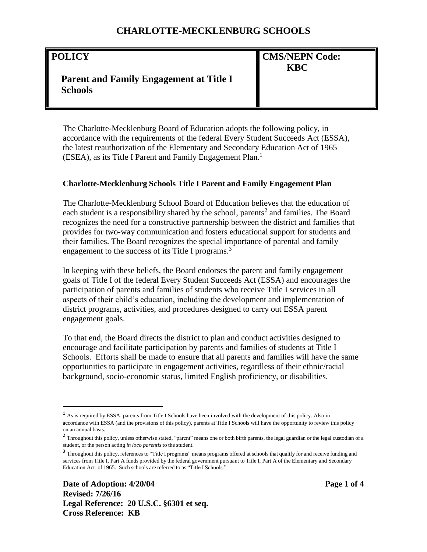#### **POLICY**

 $\overline{\phantom{a}}$ 

# **CMS/NEPN Code: KBC**

# **Parent and Family Engagement at Title I Schools**

The Charlotte-Mecklenburg Board of Education adopts the following policy, in accordance with the requirements of the federal Every Student Succeeds Act (ESSA), the latest reauthorization of the Elementary and Secondary Education Act of 1965 (ESEA), as its Title I Parent and Family Engagement Plan.<sup>1</sup>

#### **Charlotte-Mecklenburg Schools Title I Parent and Family Engagement Plan**

The Charlotte-Mecklenburg School Board of Education believes that the education of each student is a responsibility shared by the school, parents<sup>2</sup> and families. The Board recognizes the need for a constructive partnership between the district and families that provides for two-way communication and fosters educational support for students and their families. The Board recognizes the special importance of parental and family engagement to the success of its Title I programs. $3$ 

In keeping with these beliefs, the Board endorses the parent and family engagement goals of Title I of the federal Every Student Succeeds Act (ESSA) and encourages the participation of parents and families of students who receive Title I services in all aspects of their child's education, including the development and implementation of district programs, activities, and procedures designed to carry out ESSA parent engagement goals.

To that end, the Board directs the district to plan and conduct activities designed to encourage and facilitate participation by parents and families of students at Title I Schools. Efforts shall be made to ensure that all parents and families will have the same opportunities to participate in engagement activities, regardless of their ethnic/racial background, socio-economic status, limited English proficiency, or disabilities.

<sup>1</sup> As is required by ESSA, parents from Title I Schools have been involved with the development of this policy. Also in accordance with ESSA (and the provisions of this policy), parents at Title I Schools will have the opportunity to review this policy on an annual basis.

<sup>&</sup>lt;sup>2</sup> Throughout this policy, unless otherwise stated, "parent" means one or both birth parents, the legal guardian or the legal custodian of a student, or the person acting *in loco parentis* to the student.

<sup>&</sup>lt;sup>3</sup> Throughout this policy, references to "Title I programs" means programs offered at schools that qualify for and receive funding and services from Title I, Part A funds provided by the federal government pursuant to Title I, Part A of the Elementary and Secondary Education Act of 1965. Such schools are referred to as "Title I Schools."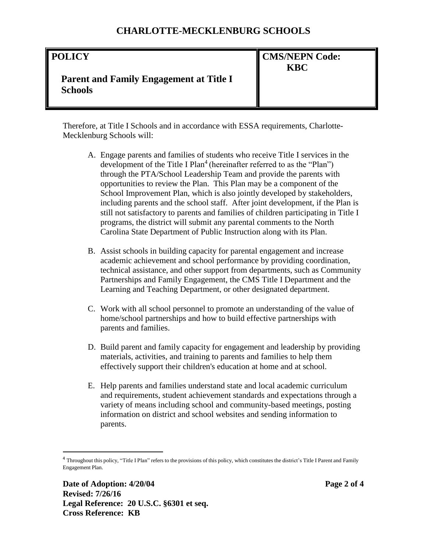#### **POLICY**

**CMS/NEPN Code: KBC**

# **Parent and Family Engagement at Title I Schools**

Therefore, at Title I Schools and in accordance with ESSA requirements, Charlotte-Mecklenburg Schools will:

- A. Engage parents and families of students who receive Title I services in the development of the Title I Plan<sup>4</sup> (hereinafter referred to as the "Plan") through the PTA/School Leadership Team and provide the parents with opportunities to review the Plan. This Plan may be a component of the School Improvement Plan, which is also jointly developed by stakeholders, including parents and the school staff. After joint development, if the Plan is still not satisfactory to parents and families of children participating in Title I programs, the district will submit any parental comments to the North Carolina State Department of Public Instruction along with its Plan.
- B. Assist schools in building capacity for parental engagement and increase academic achievement and school performance by providing coordination, technical assistance, and other support from departments, such as Community Partnerships and Family Engagement, the CMS Title I Department and the Learning and Teaching Department, or other designated department.
- C. Work with all school personnel to promote an understanding of the value of home/school partnerships and how to build effective partnerships with parents and families.
- D. Build parent and family capacity for engagement and leadership by providing materials, activities, and training to parents and families to help them effectively support their children's education at home and at school.
- E. Help parents and families understand state and local academic curriculum and requirements, student achievement standards and expectations through a variety of means including school and community-based meetings, posting information on district and school websites and sending information to parents.

 $\overline{\phantom{a}}$ 

 $^4$  Throughout this policy, "Title I Plan" refers to the provisions of this policy, which constitutes the district's Title I Parent and Family Engagement Plan.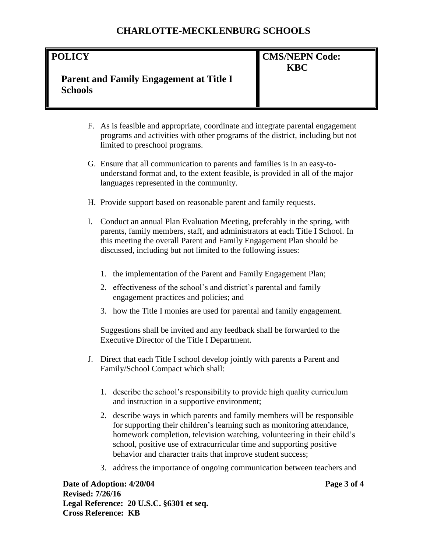#### **POLICY**

# **CMS/NEPN Code: KBC**

## **Parent and Family Engagement at Title I Schools**

- F. As is feasible and appropriate, coordinate and integrate parental engagement programs and activities with other programs of the district, including but not limited to preschool programs.
- G. Ensure that all communication to parents and families is in an easy-tounderstand format and, to the extent feasible, is provided in all of the major languages represented in the community.
- H. Provide support based on reasonable parent and family requests.
- I. Conduct an annual Plan Evaluation Meeting, preferably in the spring, with parents, family members, staff, and administrators at each Title I School. In this meeting the overall Parent and Family Engagement Plan should be discussed, including but not limited to the following issues:
	- 1. the implementation of the Parent and Family Engagement Plan;
	- 2. effectiveness of the school's and district's parental and family engagement practices and policies; and
	- 3. how the Title I monies are used for parental and family engagement.

Suggestions shall be invited and any feedback shall be forwarded to the Executive Director of the Title I Department.

- J. Direct that each Title I school develop jointly with parents a Parent and Family/School Compact which shall:
	- 1. describe the school's responsibility to provide high quality curriculum and instruction in a supportive environment;
	- 2. describe ways in which parents and family members will be responsible for supporting their children's learning such as monitoring attendance, homework completion, television watching, volunteering in their child's school, positive use of extracurricular time and supporting positive behavior and character traits that improve student success;
	- 3. address the importance of ongoing communication between teachers and